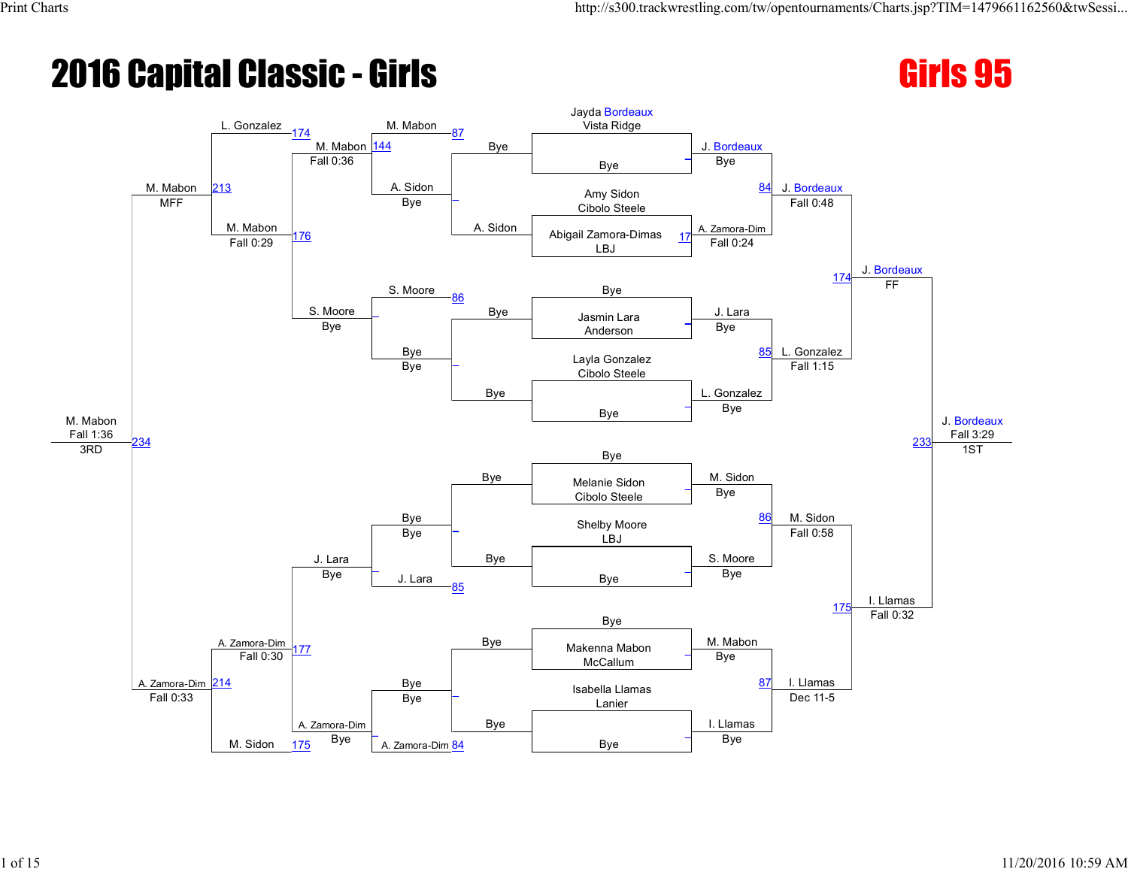

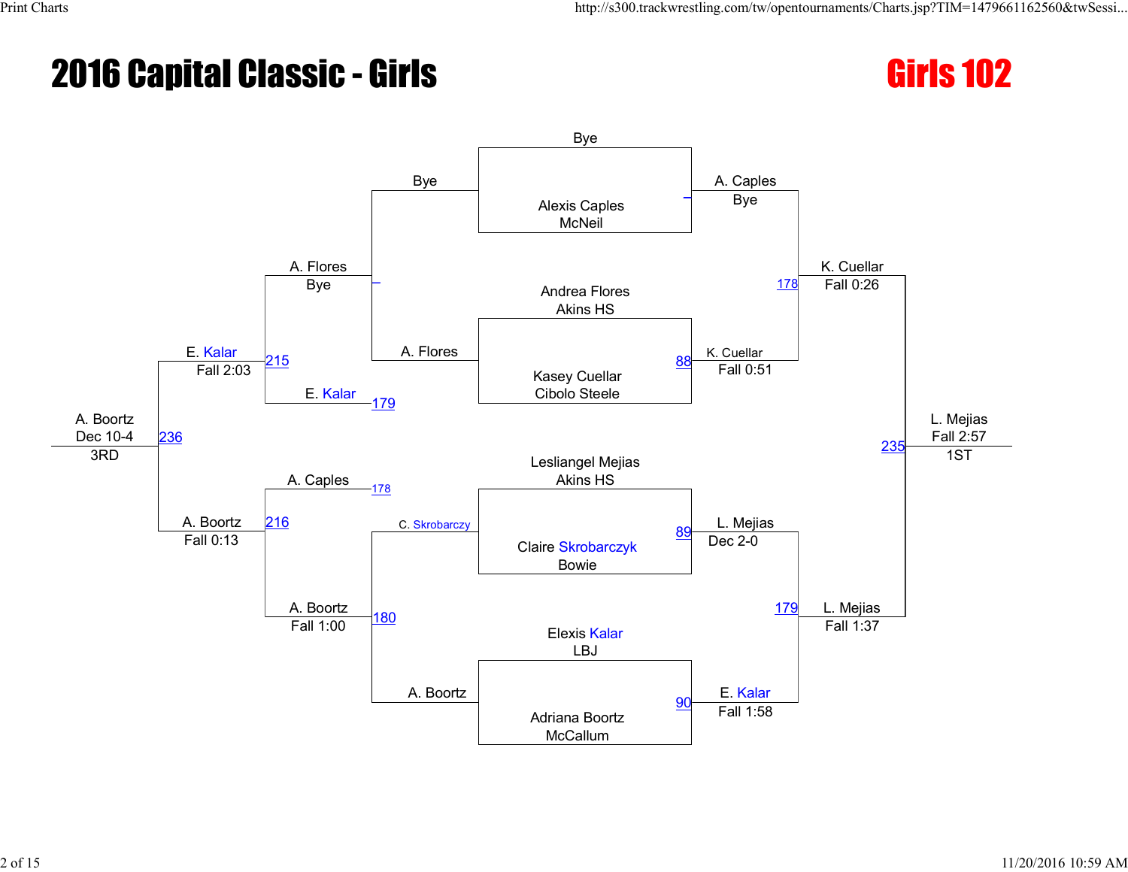

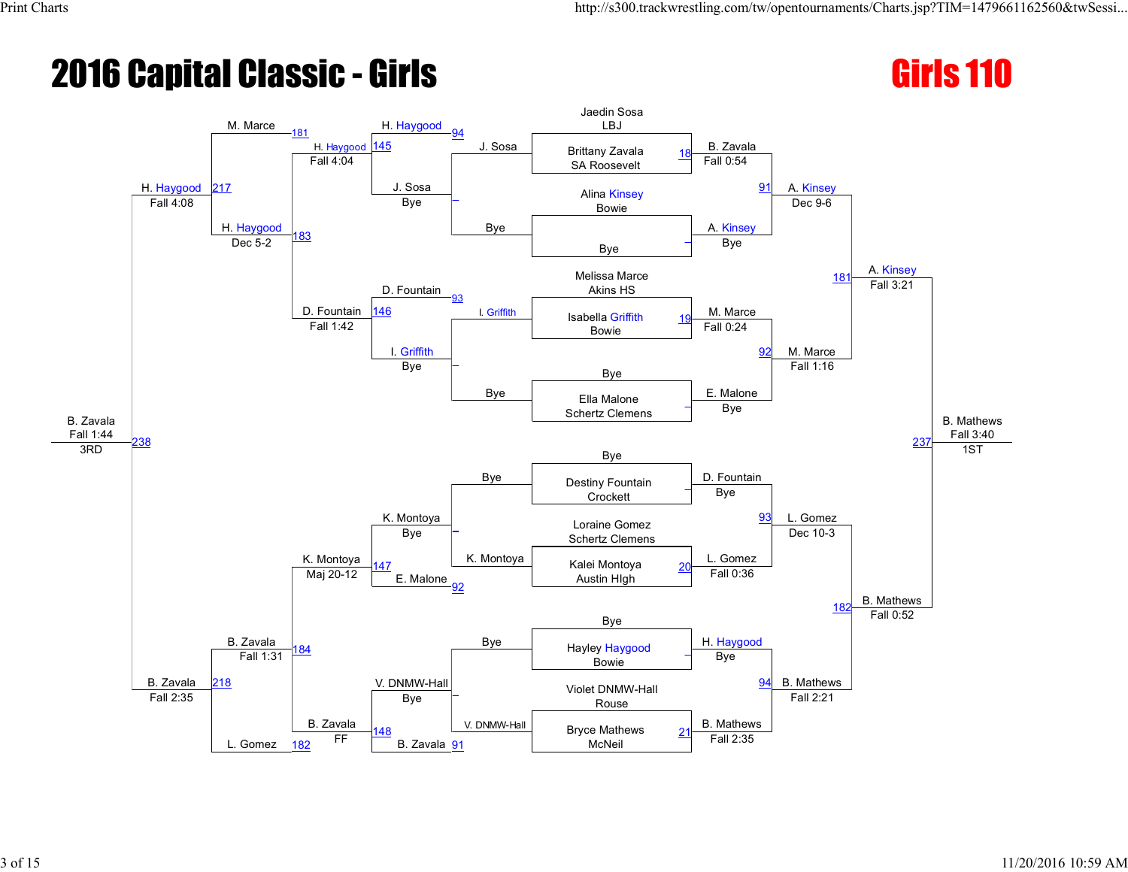

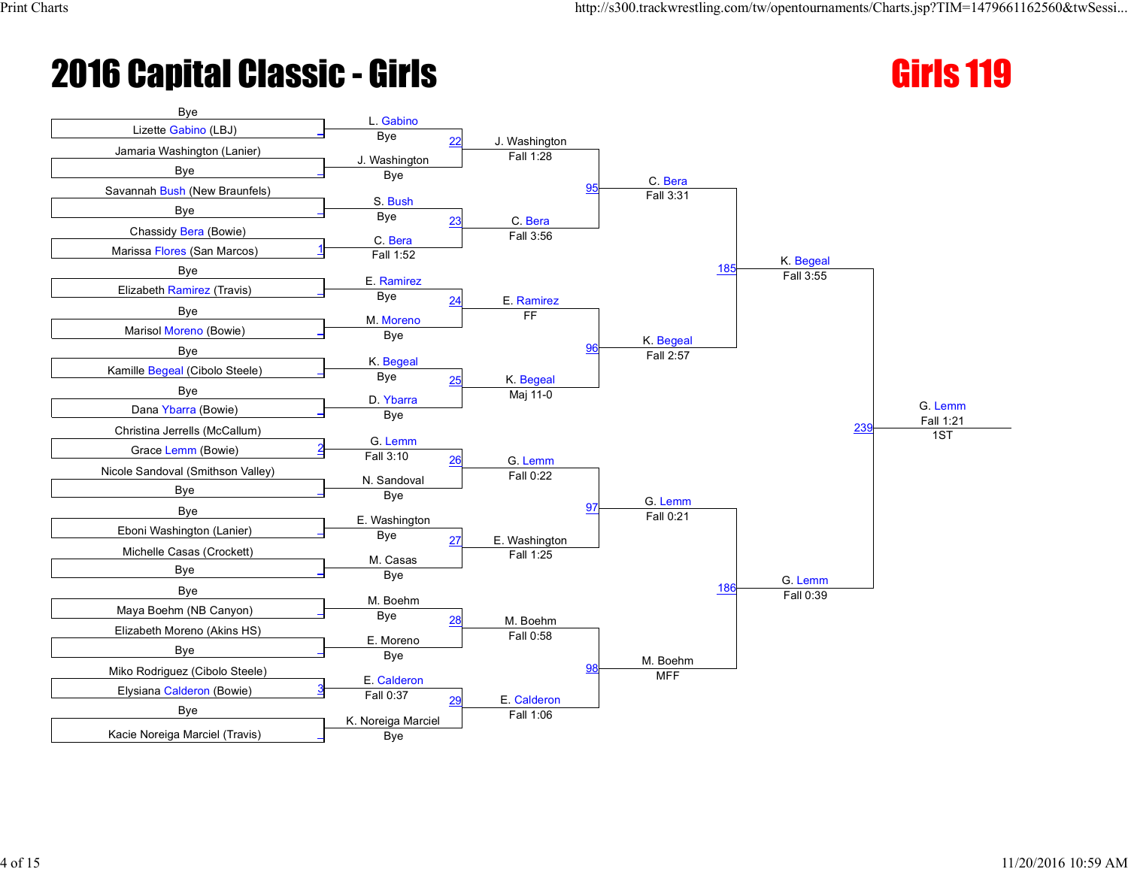

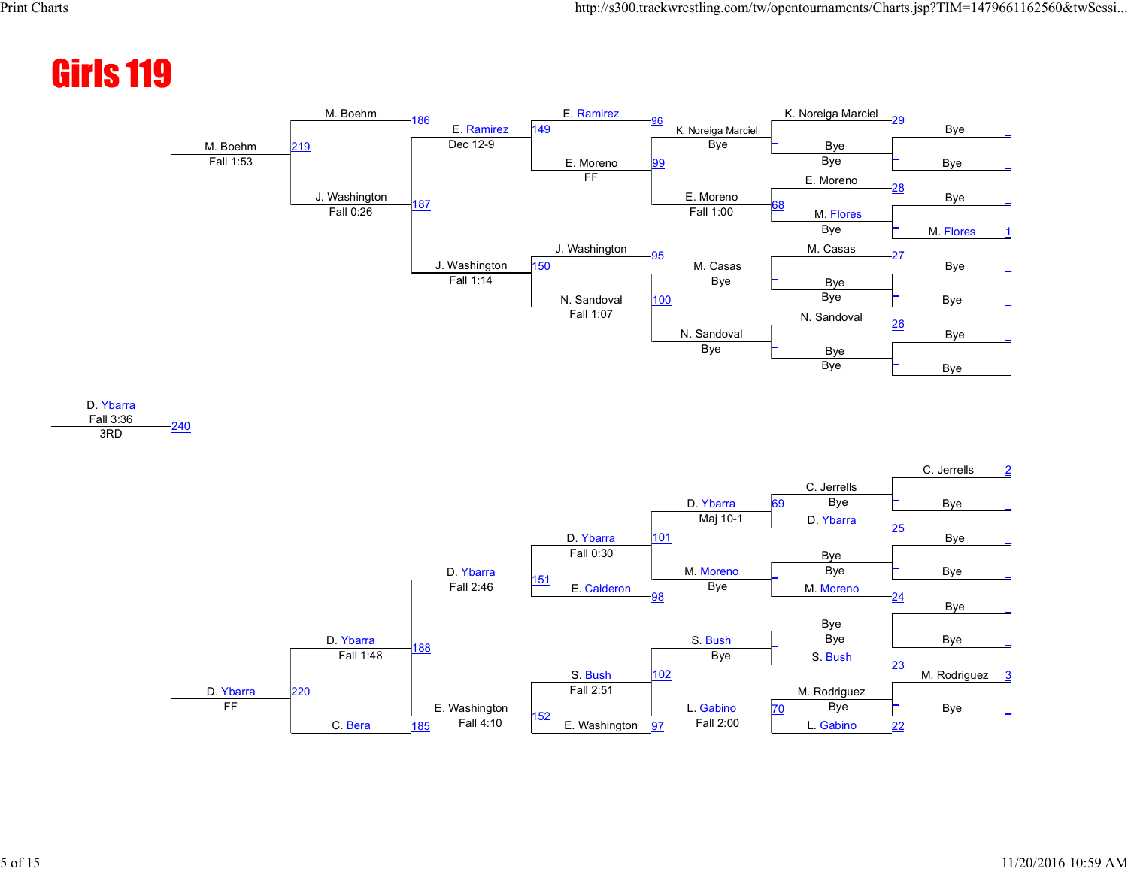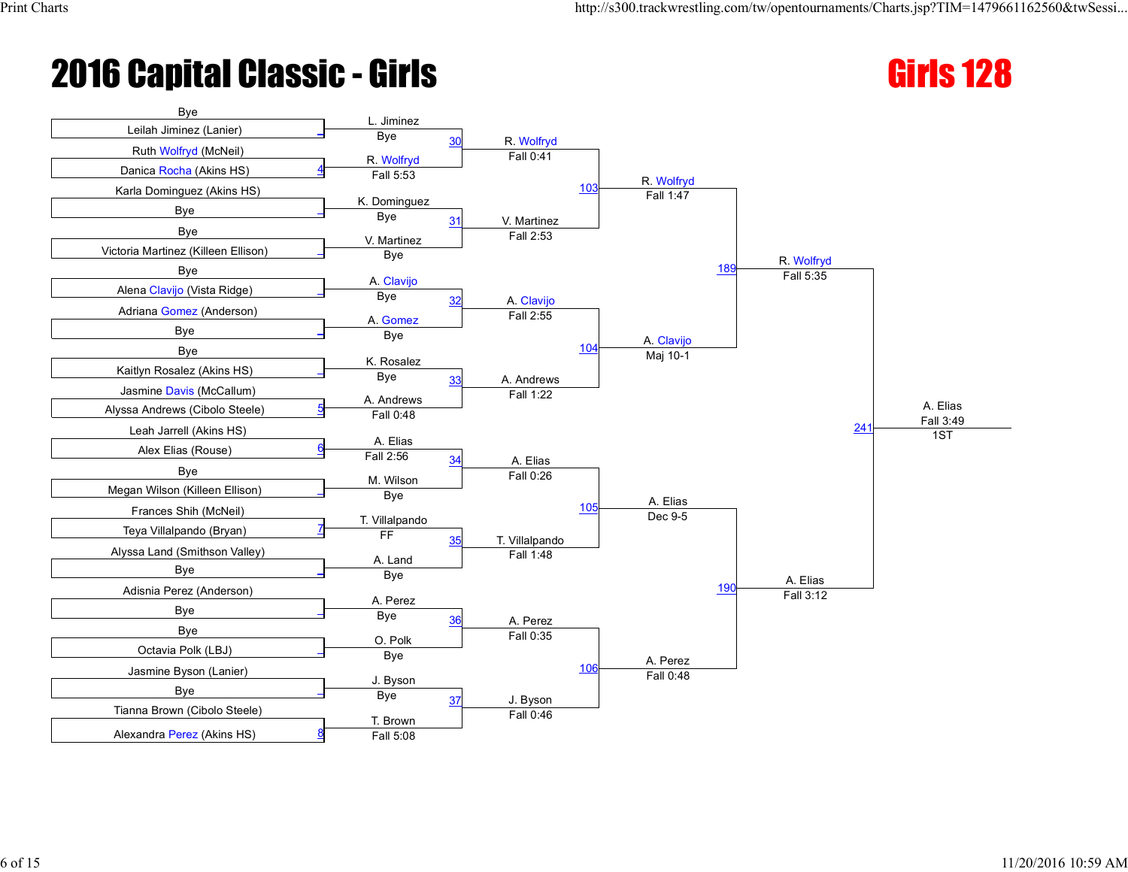

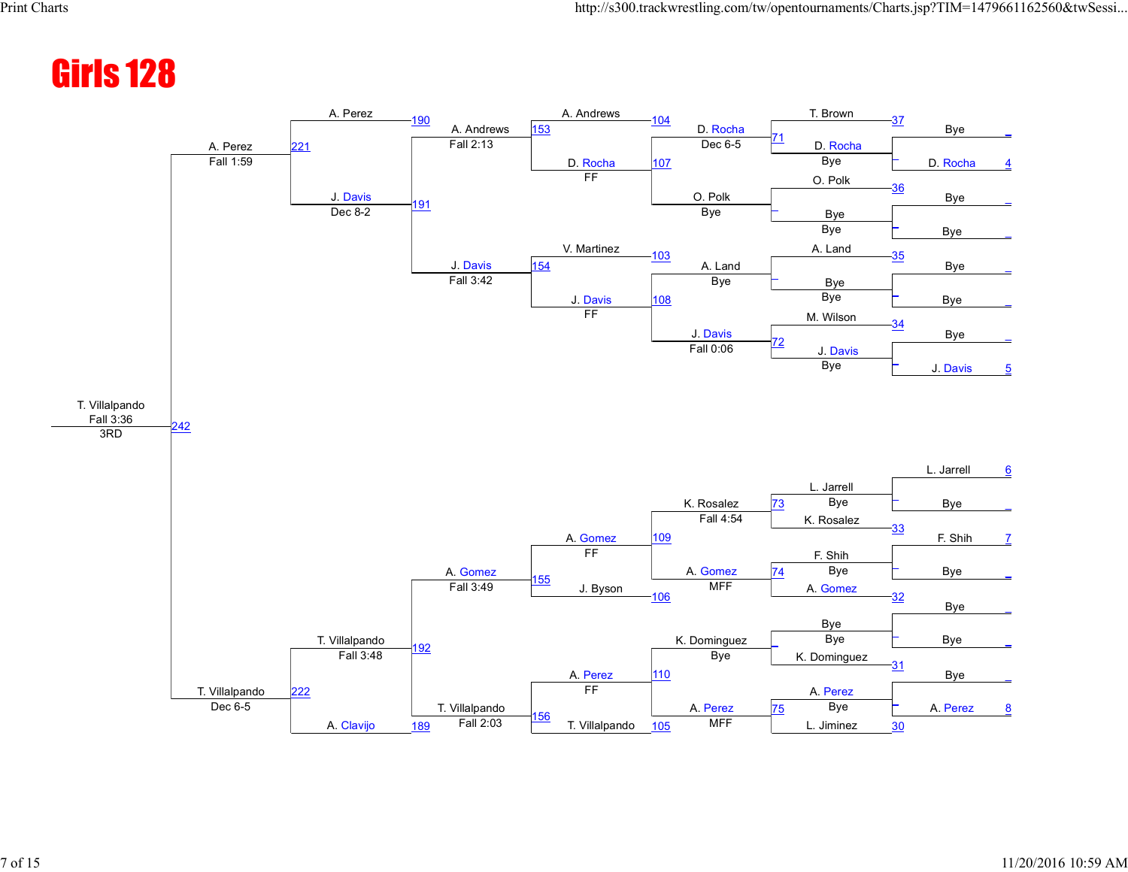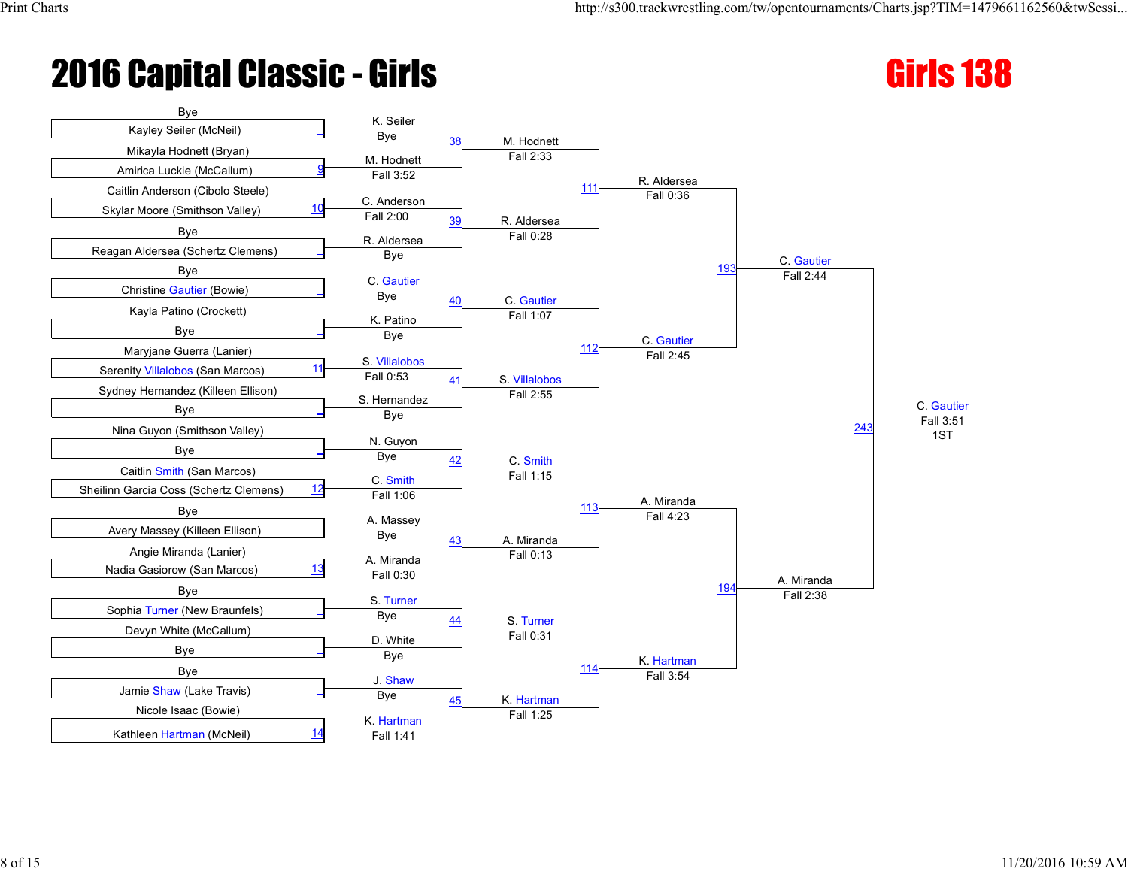

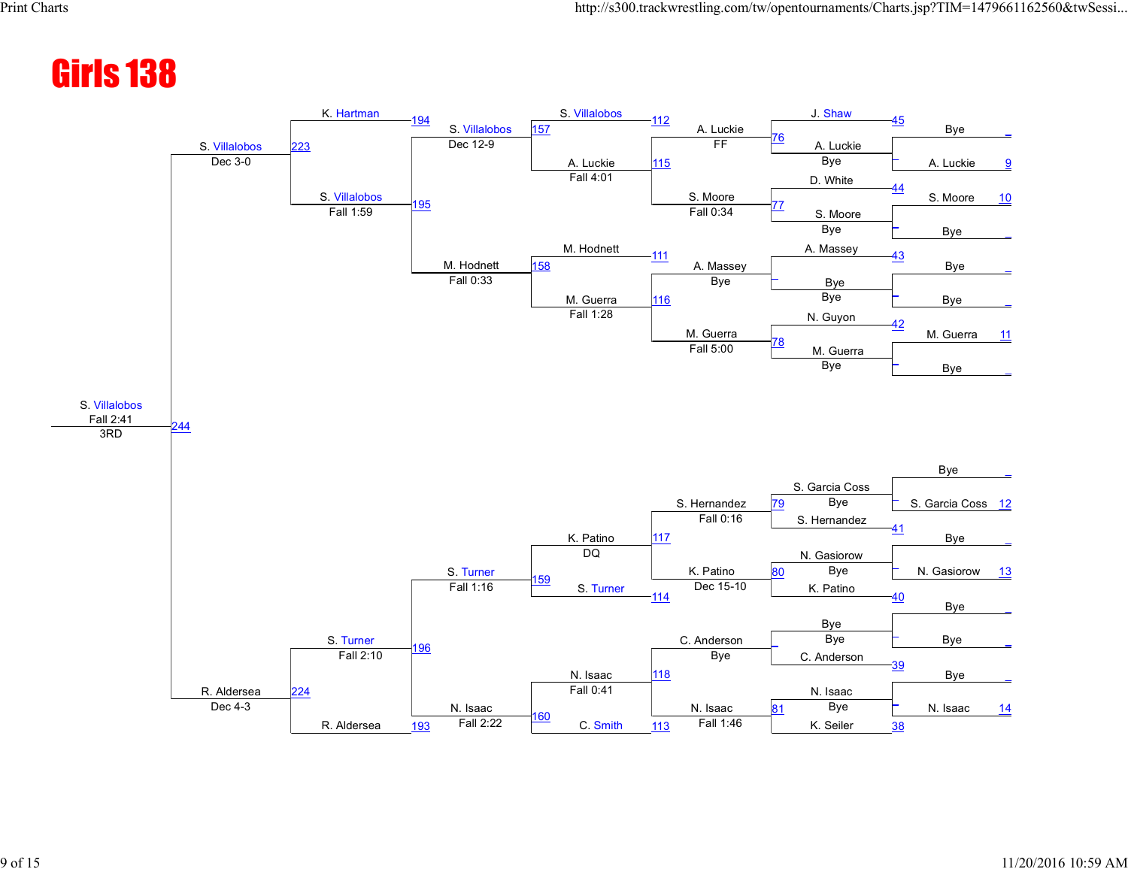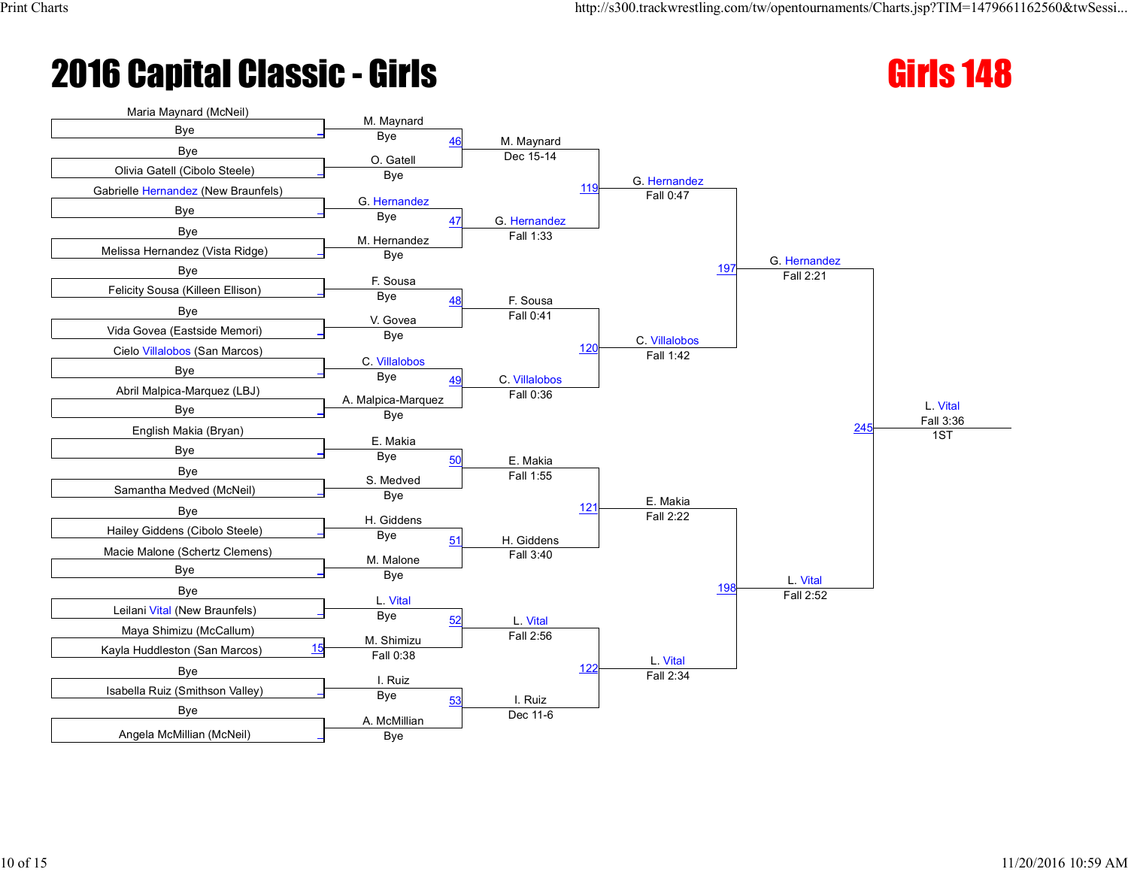

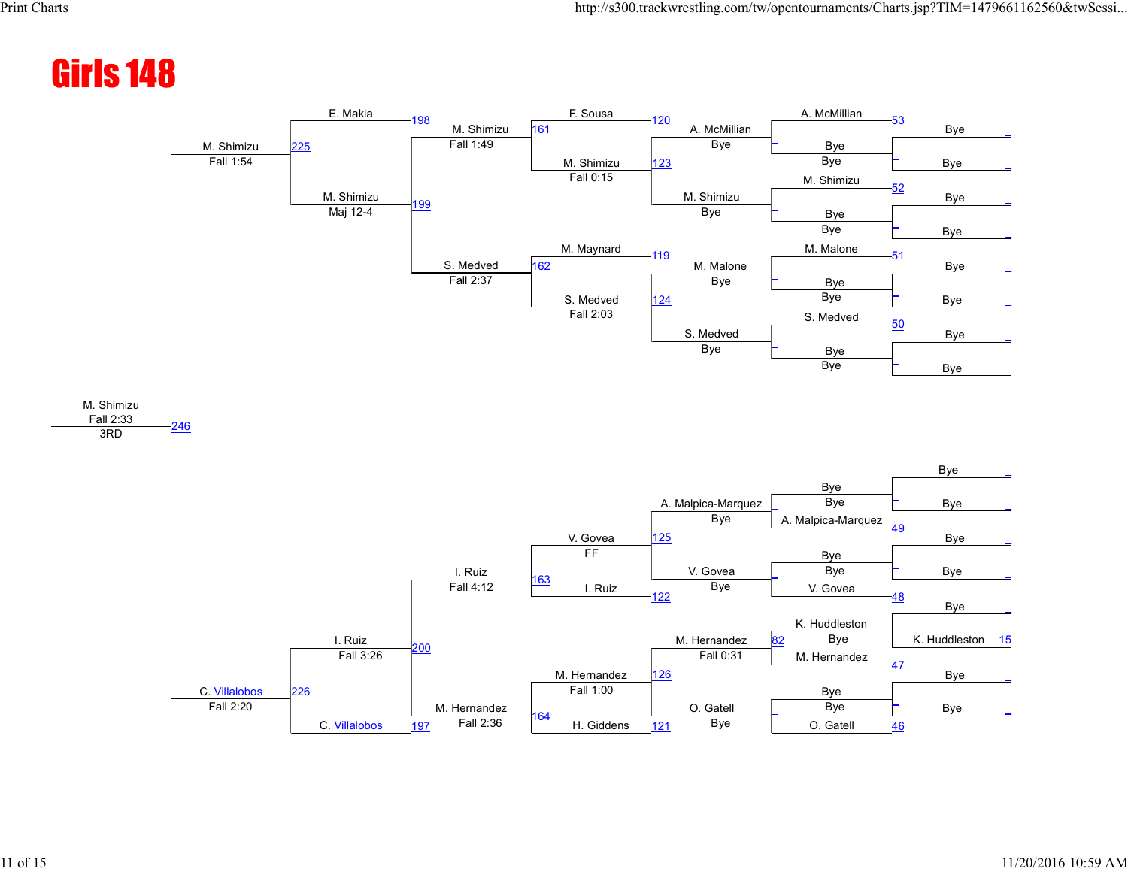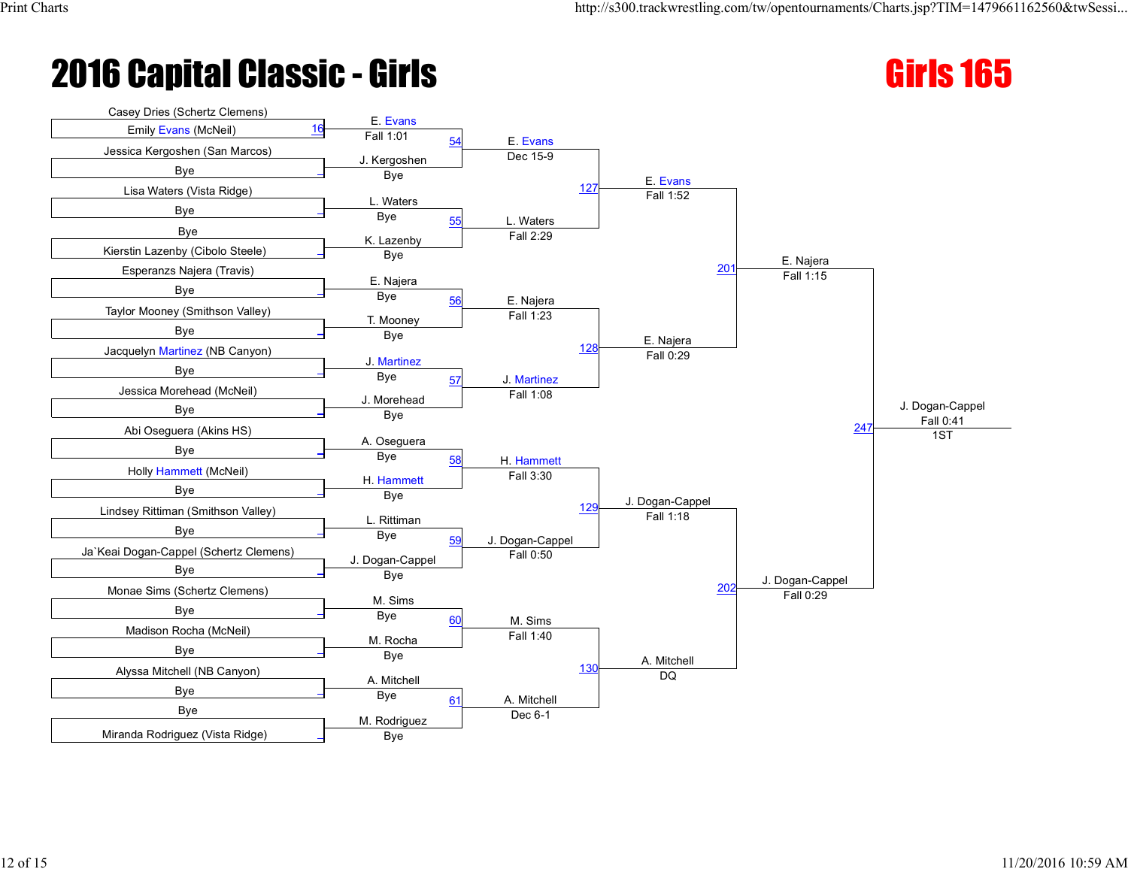

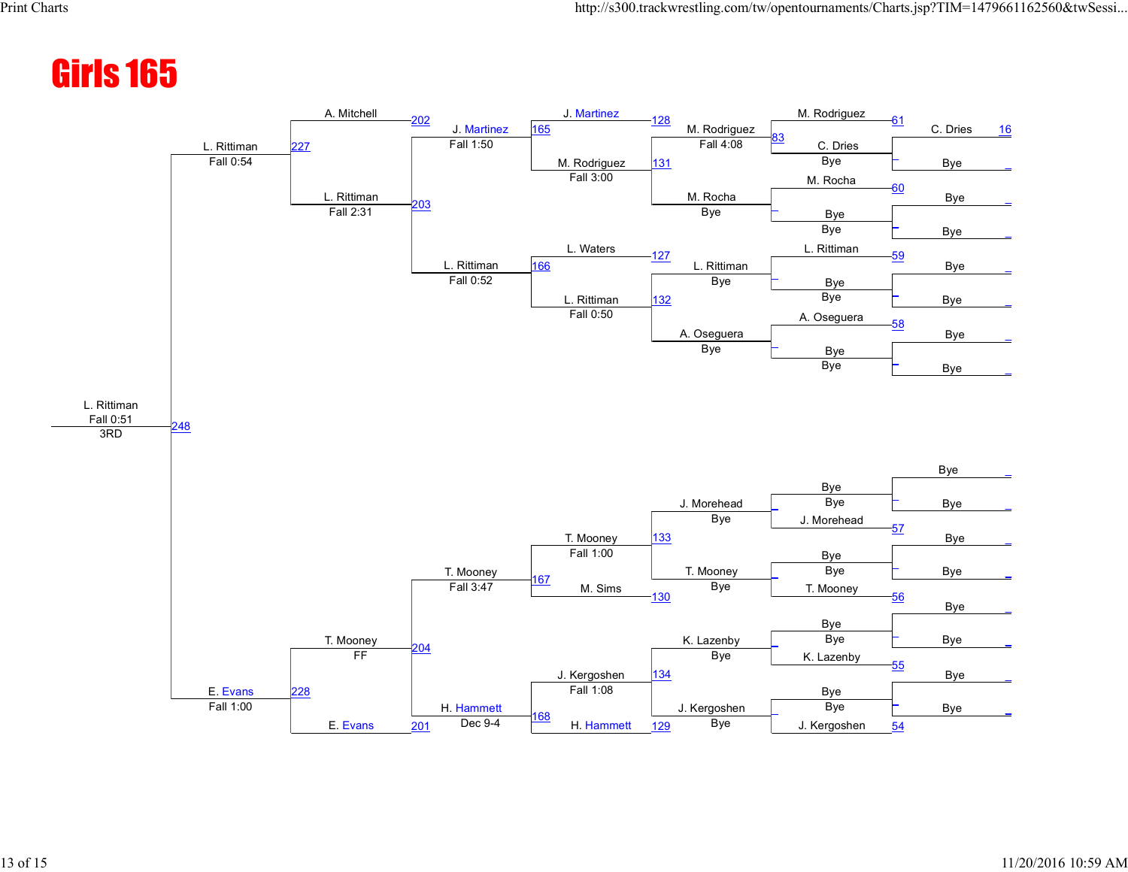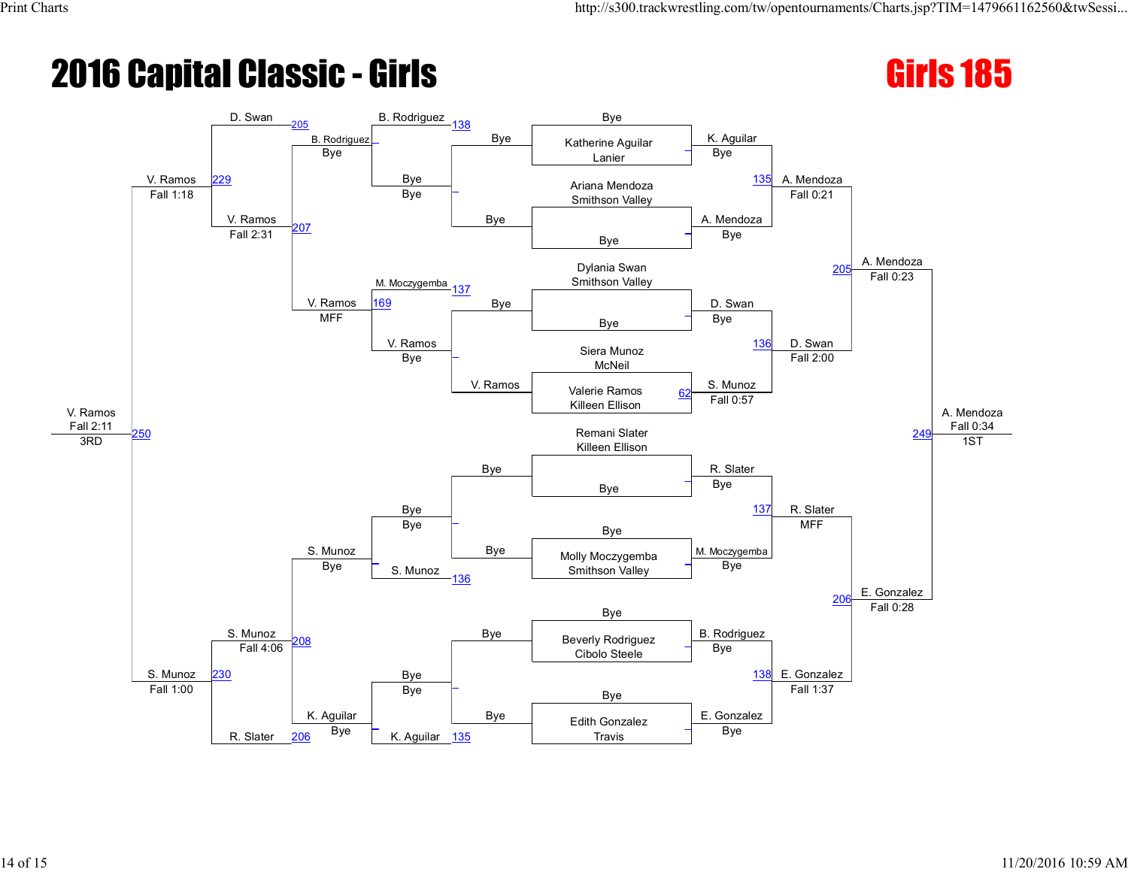